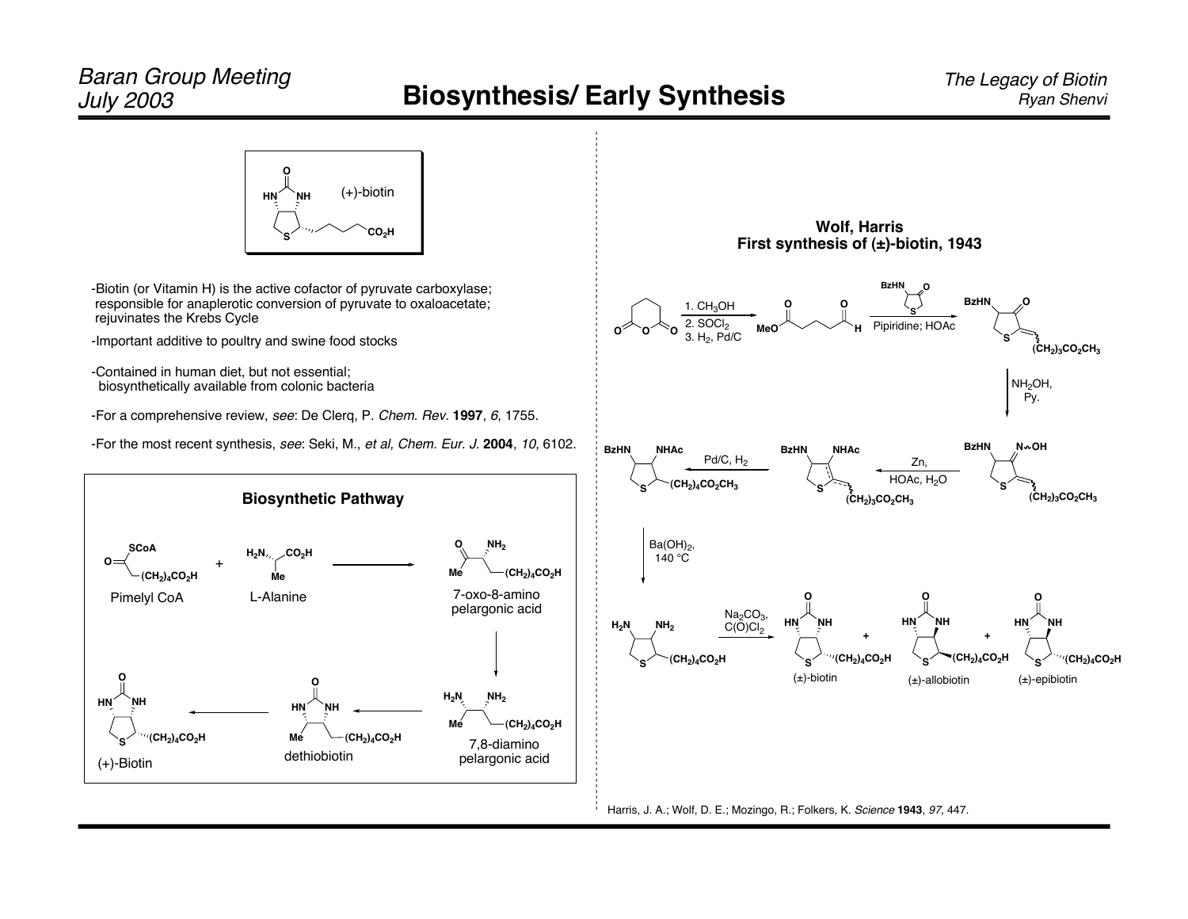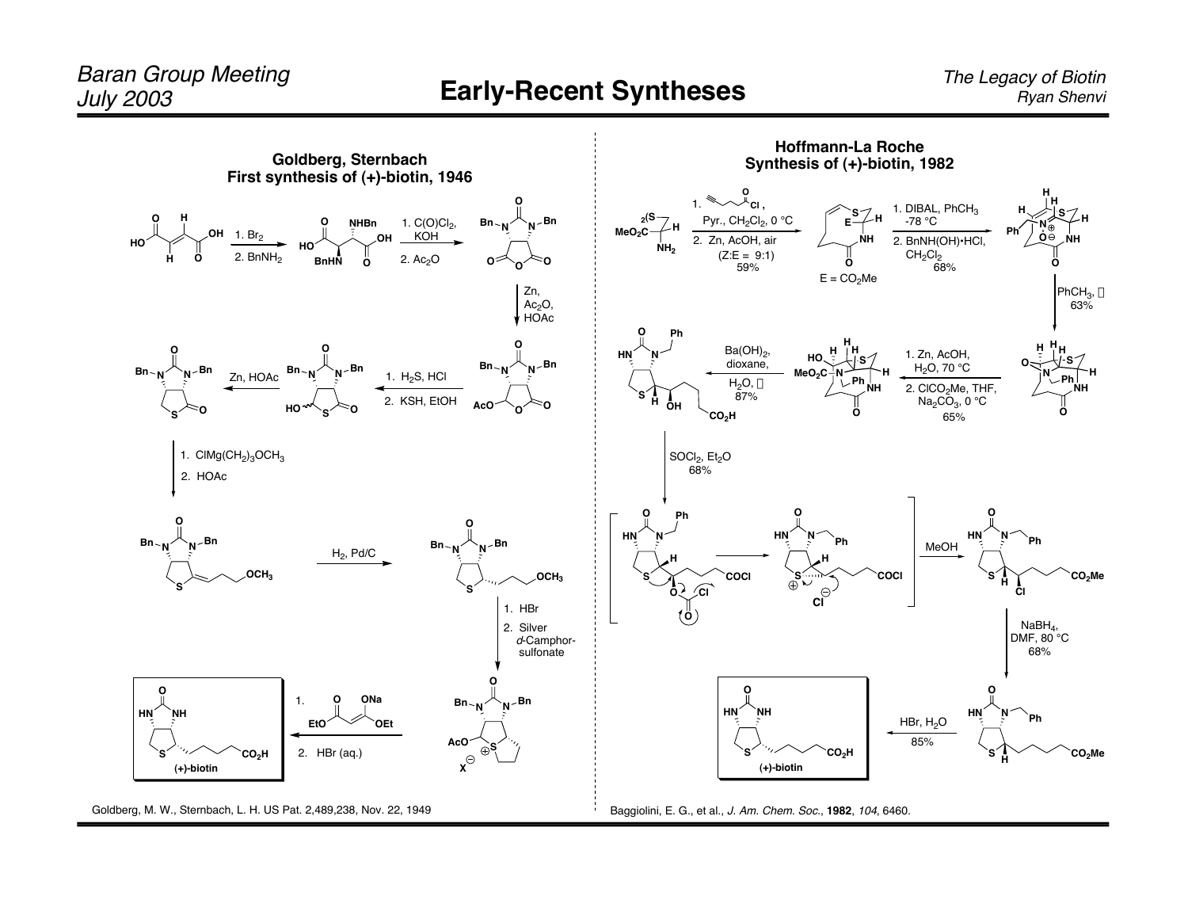